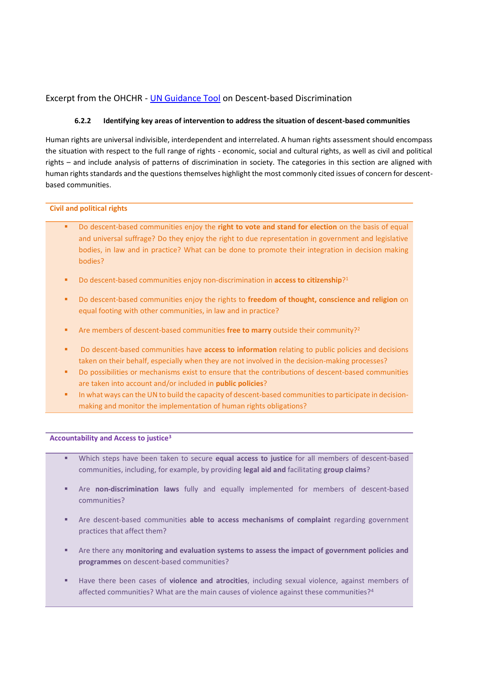# Excerpt from the OHCHR - [UN Guidance Tool](http://www.ohchr.org/EN/Issues/Minorities/Pages/MinoritiesIndex.aspx) on Descent-based Discrimination

## **6.2.2 Identifying key areas of intervention to address the situation of descent-based communities**

Human rights are universal indivisible, interdependent and interrelated. A human rights assessment should encompass the situation with respect to the full range of rights - economic, social and cultural rights, as well as civil and political rights – and include analysis of patterns of discrimination in society. The categories in this section are aligned with human rights standards and the questions themselves highlight the most commonly cited issues of concern for descentbased communities.

## **Civil and political rights**

- Do descent-based communities enjoy the **right to vote and stand for election** on the basis of equal and universal suffrage? Do they enjoy the right to due representation in government and legislative bodies, in law and in practice? What can be done to promote their integration in decision making bodies?
- **•** Do descent-based communities enjoy non-discrimination in **access to citizenship**?<sup>1</sup>
- Do descent-based communities enjoy the rights to **freedom of thought, conscience and religion** on equal footing with other communities, in law and in practice?
- Are members of descent-based communities free to marry outside their community?<sup>2</sup>
- Do descent-based communities have **access to information** relating to public policies and decisions taken on their behalf, especially when they are not involved in the decision-making processes?
- Do possibilities or mechanisms exist to ensure that the contributions of descent-based communities are taken into account and/or included in **public policies**?
- In what ways can the UN to build the capacity of descent-based communities to participate in decisionmaking and monitor the implementation of human rights obligations?

## **Accountability and Access to justice<sup>3</sup>**

- Which steps have been taken to secure **equal access to justice** for all members of descent-based communities, including, for example, by providing **legal aid and** facilitating **group claims**?
- Are **non-discrimination laws** fully and equally implemented for members of descent-based communities?
- Are descent-based communities able to access mechanisms of complaint regarding government practices that affect them?
- Are there any **monitoring and evaluation systems to assess the impact of government policies and programmes** on descent-based communities?
- Have there been cases of **violence and atrocities**, including sexual violence, against members of affected communities? What are the main causes of violence against these communities?4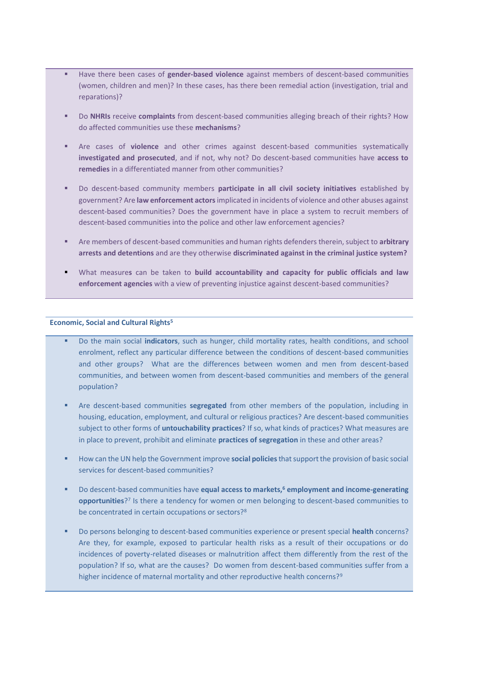- Have there been cases of **gender-based violence** against members of descent-based communities (women, children and men)? In these cases, has there been remedial action (investigation, trial and reparations)?
- Do **NHRIs** receive **complaints** from descent-based communities alleging breach of their rights? How do affected communities use these **mechanisms**?
- Are cases of **violence** and other crimes against descent-based communities systematically **investigated and prosecuted**, and if not, why not? Do descent-based communities have **access to remedies** in a differentiated manner from other communities?
- Do descent-based community members **participate in all civil society initiatives** established by government? Are **law enforcement actors**implicated in incidents of violence and other abuses against descent-based communities? Does the government have in place a system to recruit members of descent-based communities into the police and other law enforcement agencies?
- Are members of descent-based communities and human rights defenders therein, subject to **arbitrary arrests and detentions** and are they otherwise **discriminated against in the criminal justice system?**
- What measures can be taken to **build accountability and capacity for public officials and law enforcement agencies** with a view of preventing injustice against descent-based communities?

#### **Economic, Social and Cultural Rights<sup>5</sup>**

- Do the main social **indicators**, such as hunger, child mortality rates, health conditions, and school enrolment, reflect any particular difference between the conditions of descent-based communities and other groups? What are the differences between women and men from descent-based communities, and between women from descent-based communities and members of the general population?
- Are descent-based communities **segregated** from other members of the population, including in housing, education, employment, and cultural or religious practices? Are descent-based communities subject to other forms of **untouchability practices**? If so, what kinds of practices? What measures are in place to prevent, prohibit and eliminate **practices of segregation** in these and other areas?
- How can the UN help the Government improve **social policies**that support the provision of basic social services for descent-based communities?
- Do descent-based communities have **equal access to markets,<sup>6</sup> employment and income-generating opportunities**? 7 Is there a tendency for women or men belonging to descent-based communities to be concentrated in certain occupations or sectors?<sup>8</sup>
- Do persons belonging to descent-based communities experience or present special **health** concerns? Are they, for example, exposed to particular health risks as a result of their occupations or do incidences of poverty-related diseases or malnutrition affect them differently from the rest of the population? If so, what are the causes? Do women from descent-based communities suffer from a higher incidence of maternal mortality and other reproductive health concerns?<sup>9</sup>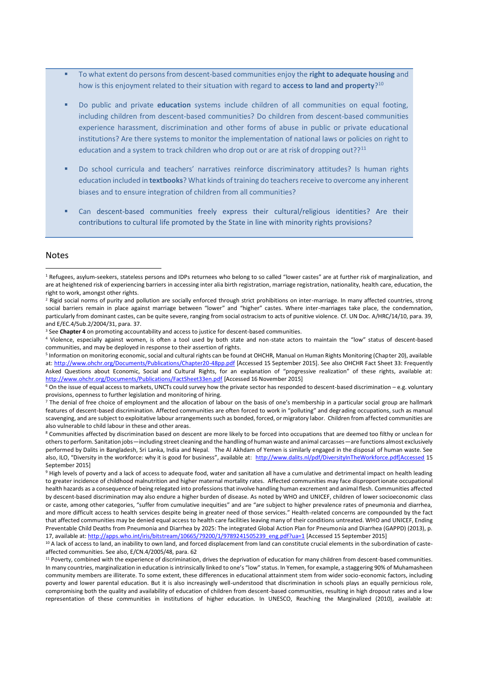- To what extent do persons from descent-based communities enjoy the **right to adequate housing** and how is this enjoyment related to their situation with regard to **access to land and property**? 10
- Do public and private **education** systems include children of all communities on equal footing, including children from descent-based communities? Do children from descent-based communities experience harassment, discrimination and other forms of abuse in public or private educational institutions? Are there systems to monitor the implementation of national laws or policies on right to education and a system to track children who drop out or are at risk of dropping out??<sup>11</sup>
- Do school curricula and teachers' narratives reinforce discriminatory attitudes? Is human rights education included in **textbooks**? What kinds of training do teachers receive to overcome any inherent biases and to ensure integration of children from all communities?
- Can descent-based communities freely express their cultural/religious identities? Are their contributions to cultural life promoted by the State in line with minority rights provisions?

#### Notes

l

<sup>&</sup>lt;sup>1</sup> Refugees, asylum-seekers, stateless persons and IDPs returnees who belong to so called "lower castes" are at further risk of marginalization, and are at heightened risk of experiencing barriers in accessing inter alia birth registration, marriage registration, nationality, health care, education, the right to work, amongst other rights.

<sup>&</sup>lt;sup>2</sup> Rigid social norms of purity and pollution are socially enforced through strict prohibitions on inter-marriage. In many affected countries, strong social barriers remain in place against marriage between "lower" and "higher" castes. Where inter-marriages take place, the condemnation, particularly from dominant castes, can be quite severe, ranging from social ostracism to acts of punitive violence. Cf. UN Doc. A/HRC/14/10, para. 39, and E/EC.4/Sub.2/2004/31, para. 37.

<sup>&</sup>lt;sup>3</sup> See **Chapter 4** on promoting accountability and access to justice for descent-based communities.

<sup>4</sup> Violence, especially against women, is often a tool used by both state and non-state actors to maintain the "low" status of descent-based communities, and may be deployed in response to their assertion of rights.

<sup>5</sup> Information on monitoring economic, social and cultural rights can be found at OHCHR, Manual on Human Rights Monitoring (Chapter 20), available at[: http://www.ohchr.org/Documents/Publications/Chapter20-48pp.pdf](http://www.ohchr.org/Documents/Publications/Chapter20-48pp.pdf) [Accessed 15 September 2015]. See also OHCHR Fact Sheet 33: Frequently Asked Questions about Economic, Social and Cultural Rights, for an explanation of "progressive realization" of these rights, available at: <http://www.ohchr.org/Documents/Publications/FactSheet33en.pdf> [Accessed 16 November 2015]

 $6$  On the issue of equal access to markets, UNCTs could survey how the private sector has responded to descent-based discrimination – e.g. voluntary provisions, openness to further legislation and monitoring of hiring.

 $<sup>7</sup>$  The denial of free choice of employment and the allocation of labour on the basis of one's membership in a particular social group are hallmark</sup> features of descent-based discrimination. Affected communities are often forced to work in "polluting" and degrading occupations, such as manual scavenging, and are subject to exploitative labour arrangements such as bonded, forced, or migratory labor. Children from affected communities are also vulnerable to child labour in these and other areas.

<sup>8</sup> Communities affected by discrimination based on descent are more likely to be forced into occupations that are deemed too filthy or unclean for others to perform. Sanitation jobs—including street cleaning and the handling of human waste and animal carcasses—are functions almost exclusively performed by Dalits in Bangladesh, Sri Lanka, India and Nepal. The Al Akhdam of Yemen is similarly engaged in the disposal of human waste. See also, ILO, "Diversity in the workforce: why it is good for business", available at: [http://www.dalits.nl/pdf/DiversityInTheWorkforce.pdf\[Accessed](http://www.dalits.nl/pdf/DiversityInTheWorkforce.pdf%5bAccessed) 15 September 2015]

<sup>&</sup>lt;sup>9</sup> High levels of poverty and a lack of access to adequate food, water and sanitation all have a cumulative and detrimental impact on health leading to greater incidence of childhood malnutrition and higher maternal mortality rates. Affected communities may face disproportionate occupational health hazards as a consequence of being relegated into professions that involve handling human excrement and animal flesh. Communities affected by descent-based discrimination may also endure a higher burden of disease. As noted by WHO and UNICEF, children of lower socioeconomic class or caste, among other categories, "suffer from cumulative inequities" and are "are subject to higher prevalence rates of pneumonia and diarrhea, and more difficult access to health services despite being in greater need of those services." Health-related concerns are compounded by the fact that affected communities may be denied equal access to health care facilities leaving many of their conditions untreated. WHO and UNICEF, Ending Preventable Child Deaths from Pneumonia and Diarrhea by 2025: The integrated Global Action Plan for Pneumonia and Diarrhea (GAPPD) (2013), p. 17, available at[: http://apps.who.int/iris/bitstream/10665/79200/1/9789241505239\\_eng.pdf?ua=1](http://apps.who.int/iris/bitstream/10665/79200/1/9789241505239_eng.pdf?ua=1) [Accessed 15 September 2015]

<sup>&</sup>lt;sup>10</sup> A lack of access to land, an inability to own land, and forced displacement from land can constitute crucial elements in the subordination of casteaffected communities. See also, E/CN.4/2005/48, para. 62

<sup>&</sup>lt;sup>11</sup> Poverty, combined with the experience of discrimination, drives the deprivation of education for many children from descent-based communities. In many countries, marginalization in education is intrinsically linked to one's "low" status. In Yemen, for example, a staggering 90% of Muhamasheen community members are illiterate. To some extent, these differences in educational attainment stem from wider socio-economic factors, including poverty and lower parental education. But it is also increasingly well-understood that discrimination in schools plays an equally pernicious role, compromising both the quality and availability of education of children from descent-based communities, resulting in high dropout rates and a low representation of these communities in institutions of higher education. In UNESCO, Reaching the Marginalized (2010), available at: